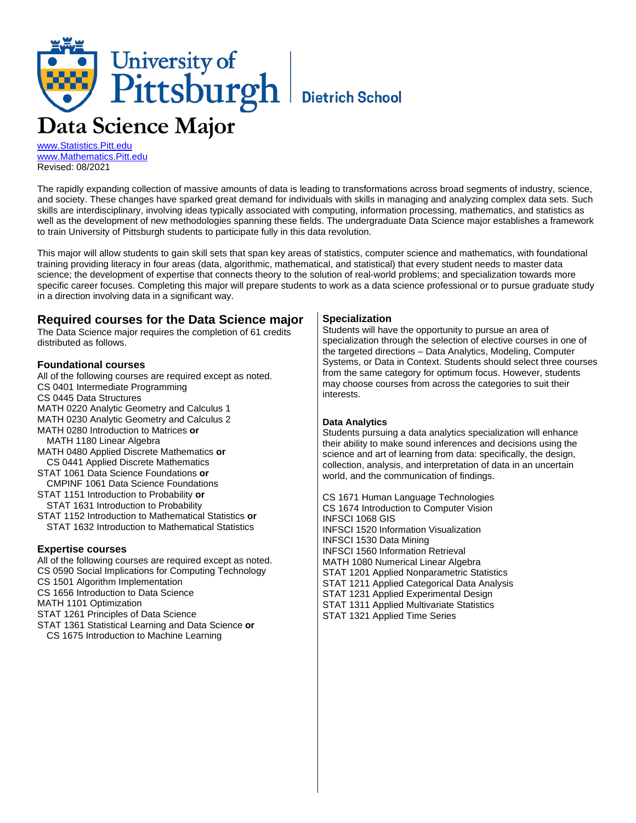# University of<br>Pittsburgh Bietrich School **Data Science Major**

[www.Statistics.Pitt.edu](http://www.statistics.pitt.edu/) [www.Mathematics.Pitt.edu](http://www.mathematics.pitt.edu/) Revised: 08/2021

The rapidly expanding collection of massive amounts of data is leading to transformations across broad segments of industry, science, and society. These changes have sparked great demand for individuals with skills in managing and analyzing complex data sets. Such skills are interdisciplinary, involving ideas typically associated with computing, information processing, mathematics, and statistics as well as the development of new methodologies spanning these fields. The undergraduate Data Science major establishes a framework to train University of Pittsburgh students to participate fully in this data revolution.

This major will allow students to gain skill sets that span key areas of statistics, computer science and mathematics, with foundational training providing literacy in four areas (data, algorithmic, mathematical, and statistical) that every student needs to master data science; the development of expertise that connects theory to the solution of real-world problems; and specialization towards more specific career focuses. Completing this major will prepare students to work as a data science professional or to pursue graduate study in a direction involving data in a significant way.

## **Required courses for the Data Science major**

The Data Science major requires the completion of 61 credits distributed as follows.

## **Foundational courses**

All of the following courses are required except as noted. CS 0401 Intermediate Programming CS 0445 Data Structures MATH 0220 Analytic Geometry and Calculus 1 MATH 0230 Analytic Geometry and Calculus 2 MATH 0280 Introduction to Matrices **or** MATH 1180 Linear Algebra MATH 0480 Applied Discrete Mathematics **or** CS 0441 Applied Discrete Mathematics STAT 1061 Data Science Foundations **or** CMPINF 1061 Data Science Foundations STAT 1151 Introduction to Probability **or**

STAT 1631 Introduction to Probability

STAT 1152 Introduction to Mathematical Statistics **or** STAT 1632 Introduction to Mathematical Statistics

## **Expertise courses**

All of the following courses are required except as noted. CS 0590 Social Implications for Computing Technology

CS 1501 Algorithm Implementation

CS 1656 Introduction to Data Science

MATH 1101 Optimization

STAT 1261 Principles of Data Science

STAT 1361 Statistical Learning and Data Science **or**

CS 1675 Introduction to Machine Learning

## **Specialization**

Students will have the opportunity to pursue an area of specialization through the selection of elective courses in one of the targeted directions – Data Analytics, Modeling, Computer Systems, or Data in Context. Students should select three courses from the same category for optimum focus. However, students may choose courses from across the categories to suit their interests.

## **Data Analytics**

Students pursuing a data analytics specialization will enhance their ability to make sound inferences and decisions using the science and art of learning from data: specifically, the design, collection, analysis, and interpretation of data in an uncertain world, and the communication of findings.

CS 1671 Human Language Technologies CS 1674 Introduction to Computer Vision INFSCI 1068 GIS INFSCI 1520 Information Visualization INFSCI 1530 Data Mining INFSCI 1560 Information Retrieval MATH 1080 Numerical Linear Algebra STAT 1201 Applied Nonparametric Statistics STAT 1211 Applied Categorical Data Analysis STAT 1231 Applied Experimental Design STAT 1311 Applied Multivariate Statistics STAT 1321 Applied Time Series